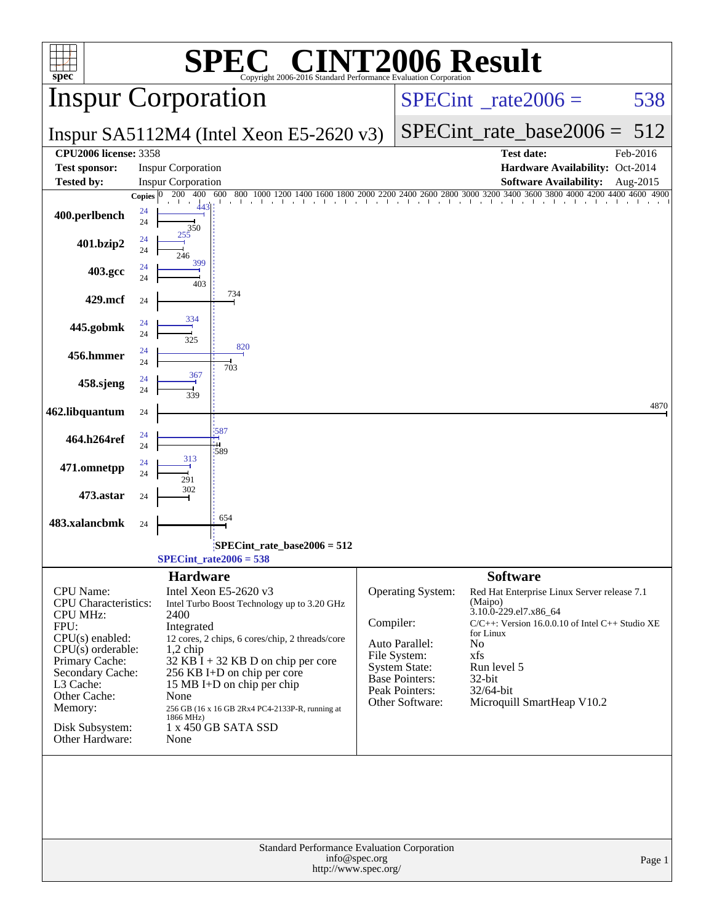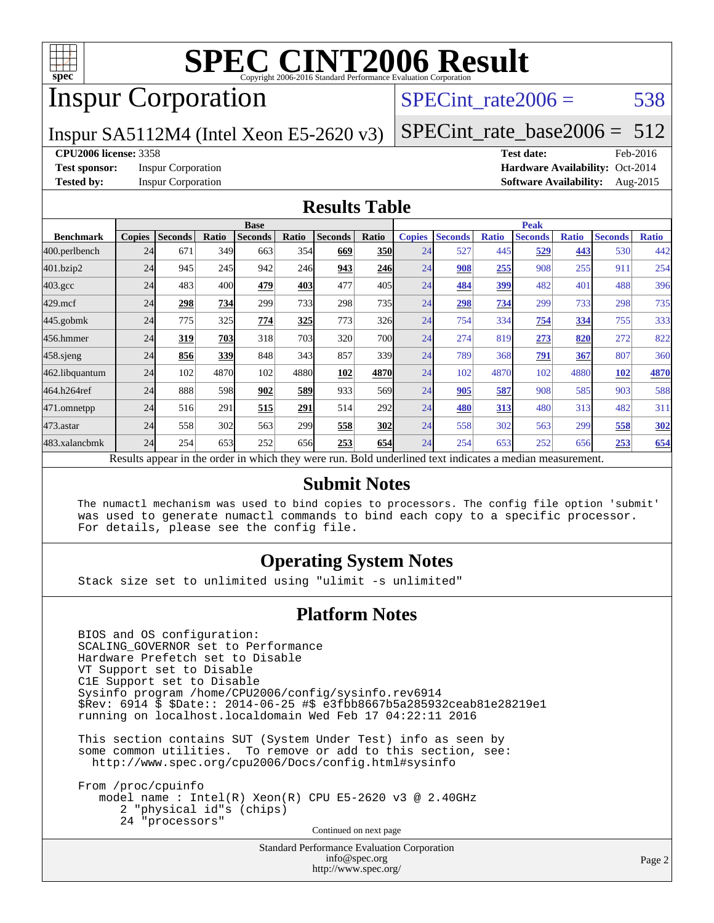

## Inspur Corporation

#### SPECint rate $2006 = 538$

Inspur SA5112M4 (Intel Xeon E5-2620 v3)

[SPECint\\_rate\\_base2006 =](http://www.spec.org/auto/cpu2006/Docs/result-fields.html#SPECintratebase2006)  $512$ 

#### **[CPU2006 license:](http://www.spec.org/auto/cpu2006/Docs/result-fields.html#CPU2006license)** 3358 **[Test date:](http://www.spec.org/auto/cpu2006/Docs/result-fields.html#Testdate)** Feb-2016

**[Test sponsor:](http://www.spec.org/auto/cpu2006/Docs/result-fields.html#Testsponsor)** Inspur Corporation **[Hardware Availability:](http://www.spec.org/auto/cpu2006/Docs/result-fields.html#HardwareAvailability)** Oct-2014

**[Tested by:](http://www.spec.org/auto/cpu2006/Docs/result-fields.html#Testedby)** Inspur Corporation **[Software Availability:](http://www.spec.org/auto/cpu2006/Docs/result-fields.html#SoftwareAvailability)** Aug-2015

#### **[Results Table](http://www.spec.org/auto/cpu2006/Docs/result-fields.html#ResultsTable)**

|                    |               |                |       | <b>Base</b>                                                                                              |            |                |                  |               |                |              | <b>Peak</b>    |              |                |              |
|--------------------|---------------|----------------|-------|----------------------------------------------------------------------------------------------------------|------------|----------------|------------------|---------------|----------------|--------------|----------------|--------------|----------------|--------------|
| <b>Benchmark</b>   | <b>Copies</b> | <b>Seconds</b> | Ratio | <b>Seconds</b>                                                                                           | Ratio      | <b>Seconds</b> | Ratio            | <b>Copies</b> | <b>Seconds</b> | <b>Ratio</b> | <b>Seconds</b> | <b>Ratio</b> | <b>Seconds</b> | <b>Ratio</b> |
| 400.perlbench      | 24            | 671            | 349   | 663                                                                                                      | 354        | 669            | <b>350</b>       | 24            | 527            | 445          | 529            | 443          | 530            | 442          |
| 401.bzip2          | 24            | 945            | 245   | 942                                                                                                      | <b>246</b> | 943            | 246              | 24            | 908            | 255          | 908            | 255          | 911            | 254          |
| $403.\mathrm{gcc}$ | 24            | 483            | 400   | 479                                                                                                      | 403        | 477            | 405              | 24            | 484            | 399          | 482            | 401          | 488            | 396          |
| $429$ .mcf         | 24            | 298            | 734   | 299                                                                                                      | 733        | 298            | 735              | 24            | 298            | 734          | 299            | 733          | 298            | 735          |
| $445$ .gobmk       | 24            | 775            | 325   | 774                                                                                                      | 325        | 773            | 326              | 24            | 754            | 334          | 754            | 334          | 755            | 333          |
| 456.hmmer          | 24            | 319            | 703   | 318                                                                                                      | 703        | 320            | <b>700</b>       | 24            | 274            | 819          | 273            | 820          | 272            | 822          |
| $458$ .sjeng       | 24            | 856            | 339   | 848                                                                                                      | 343        | 857            | 339l             | 24            | 789            | 368          | 791            | 367          | 807            | 360          |
| 462.libquantum     | 24            | 102            | 4870  | 102                                                                                                      | 4880       | 102            | 4870             | 24            | 102            | 4870         | 102            | 4880         | <b>102</b>     | 4870         |
| 464.h264ref        | 24            | 888            | 598   | 902                                                                                                      | 589        | 933            | 569 <sub>l</sub> | 24            | 905            | 587          | 908            | 585          | 903            | 588          |
| 471.omnetpp        | 24            | 516            | 291   | 515                                                                                                      | 291        | 514            | 292              | 24            | 480            | 313          | 480            | 313          | 482            | 311          |
| 473.astar          | 24            | 558            | 302   | 563                                                                                                      | 299        | 558            | 302              | 24            | 558            | 302          | 563            | 299          | 558            | <u>302</u>   |
| 483.xalancbmk      | 24            | 254            | 653   | 252                                                                                                      | 656        | 253            | 654              | 24            | 254            | 653          | 252            | 656          | 253            | 654          |
|                    |               |                |       | Results appear in the order in which they were run. Bold underlined text indicates a median measurement. |            |                |                  |               |                |              |                |              |                |              |

#### **[Submit Notes](http://www.spec.org/auto/cpu2006/Docs/result-fields.html#SubmitNotes)**

 The numactl mechanism was used to bind copies to processors. The config file option 'submit' was used to generate numactl commands to bind each copy to a specific processor. For details, please see the config file.

#### **[Operating System Notes](http://www.spec.org/auto/cpu2006/Docs/result-fields.html#OperatingSystemNotes)**

Stack size set to unlimited using "ulimit -s unlimited"

#### **[Platform Notes](http://www.spec.org/auto/cpu2006/Docs/result-fields.html#PlatformNotes)**

 BIOS and OS configuration: SCALING\_GOVERNOR set to Performance Hardware Prefetch set to Disable VT Support set to Disable C1E Support set to Disable Sysinfo program /home/CPU2006/config/sysinfo.rev6914 \$Rev: 6914 \$ \$Date:: 2014-06-25 #\$ e3fbb8667b5a285932ceab81e28219e1 running on localhost.localdomain Wed Feb 17 04:22:11 2016

 This section contains SUT (System Under Test) info as seen by some common utilities. To remove or add to this section, see: <http://www.spec.org/cpu2006/Docs/config.html#sysinfo>

 From /proc/cpuinfo model name : Intel(R) Xeon(R) CPU E5-2620 v3 @ 2.40GHz 2 "physical id"s (chips) 24 "processors" Continued on next page

> Standard Performance Evaluation Corporation [info@spec.org](mailto:info@spec.org) <http://www.spec.org/>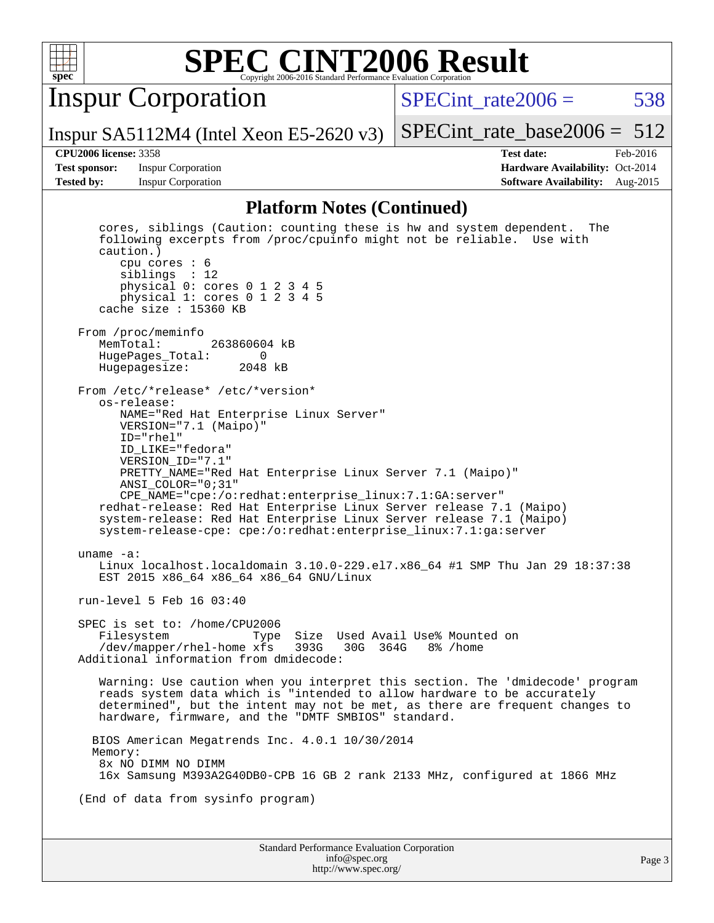

Inspur Corporation

SPECint rate $2006 = 538$ 

Inspur SA5112M4 (Intel Xeon E5-2620 v3) [SPECint\\_rate\\_base2006 =](http://www.spec.org/auto/cpu2006/Docs/result-fields.html#SPECintratebase2006) 512

**[Test sponsor:](http://www.spec.org/auto/cpu2006/Docs/result-fields.html#Testsponsor)** Inspur Corporation **[Hardware Availability:](http://www.spec.org/auto/cpu2006/Docs/result-fields.html#HardwareAvailability)** Oct-2014

**[CPU2006 license:](http://www.spec.org/auto/cpu2006/Docs/result-fields.html#CPU2006license)** 3358 **[Test date:](http://www.spec.org/auto/cpu2006/Docs/result-fields.html#Testdate)** Feb-2016 **[Tested by:](http://www.spec.org/auto/cpu2006/Docs/result-fields.html#Testedby)** Inspur Corporation **[Software Availability:](http://www.spec.org/auto/cpu2006/Docs/result-fields.html#SoftwareAvailability)** Aug-2015

#### **[Platform Notes \(Continued\)](http://www.spec.org/auto/cpu2006/Docs/result-fields.html#PlatformNotes)**

Standard Performance Evaluation Corporation [info@spec.org](mailto:info@spec.org) Page 3 cores, siblings (Caution: counting these is hw and system dependent. The following excerpts from /proc/cpuinfo might not be reliable. Use with caution.) cpu cores : 6 siblings : 12 physical 0: cores 0 1 2 3 4 5 physical 1: cores 0 1 2 3 4 5 cache size : 15360 KB From /proc/meminfo<br>MemTotal: 263860604 kB HugePages\_Total: 0 Hugepagesize: 2048 kB From /etc/\*release\* /etc/\*version\* os-release: NAME="Red Hat Enterprise Linux Server" VERSION="7.1 (Maipo)" ID="rhel" ID\_LIKE="fedora" VERSION\_ID="7.1" PRETTY\_NAME="Red Hat Enterprise Linux Server 7.1 (Maipo)" ANSI\_COLOR="0;31" CPE\_NAME="cpe:/o:redhat:enterprise\_linux:7.1:GA:server" redhat-release: Red Hat Enterprise Linux Server release 7.1 (Maipo) system-release: Red Hat Enterprise Linux Server release 7.1 (Maipo) system-release-cpe: cpe:/o:redhat:enterprise\_linux:7.1:ga:server uname -a: Linux localhost.localdomain 3.10.0-229.el7.x86\_64 #1 SMP Thu Jan 29 18:37:38 EST 2015 x86\_64 x86\_64 x86\_64 GNU/Linux run-level 5 Feb 16 03:40 SPEC is set to: /home/CPU2006 Filesystem Type Size Used Avail Use% Mounted on /dev/mapper/rhel-home xfs 393G 30G 364G 8% /home Additional information from dmidecode: Warning: Use caution when you interpret this section. The 'dmidecode' program reads system data which is "intended to allow hardware to be accurately determined", but the intent may not be met, as there are frequent changes to hardware, firmware, and the "DMTF SMBIOS" standard. BIOS American Megatrends Inc. 4.0.1 10/30/2014 Memory: 8x NO DIMM NO DIMM 16x Samsung M393A2G40DB0-CPB 16 GB 2 rank 2133 MHz, configured at 1866 MHz (End of data from sysinfo program)

<http://www.spec.org/>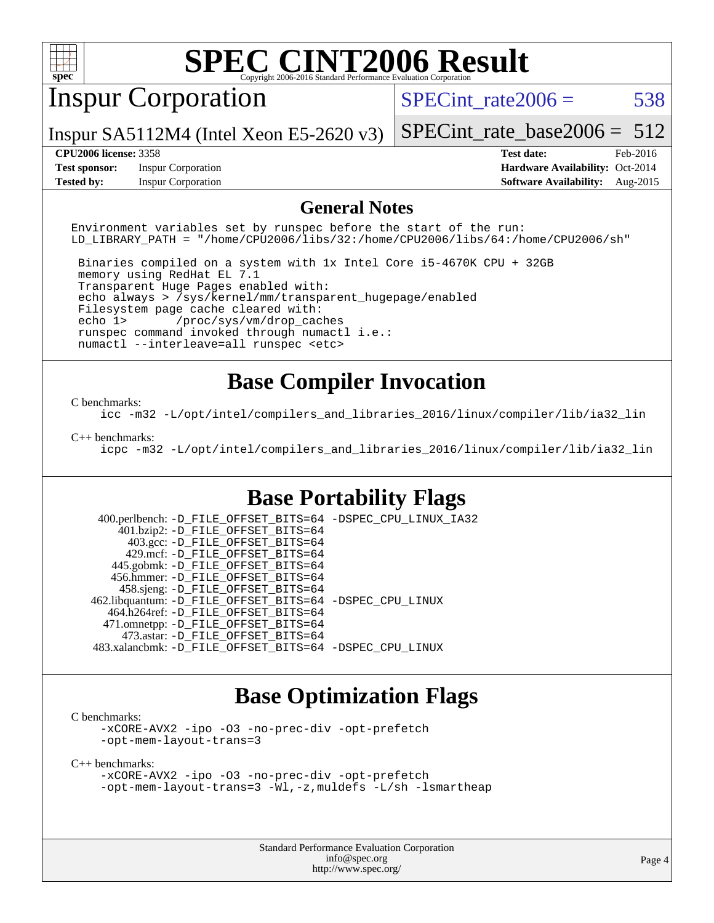

## Inspur Corporation

SPECint rate $2006 = 538$ 

Inspur SA5112M4 (Intel Xeon E5-2620 v3)

[SPECint\\_rate\\_base2006 =](http://www.spec.org/auto/cpu2006/Docs/result-fields.html#SPECintratebase2006) 512

**[Test sponsor:](http://www.spec.org/auto/cpu2006/Docs/result-fields.html#Testsponsor)** Inspur Corporation **[Hardware Availability:](http://www.spec.org/auto/cpu2006/Docs/result-fields.html#HardwareAvailability)** Oct-2014

**[CPU2006 license:](http://www.spec.org/auto/cpu2006/Docs/result-fields.html#CPU2006license)** 3358 **[Test date:](http://www.spec.org/auto/cpu2006/Docs/result-fields.html#Testdate)** Feb-2016 **[Tested by:](http://www.spec.org/auto/cpu2006/Docs/result-fields.html#Testedby)** Inspur Corporation **[Software Availability:](http://www.spec.org/auto/cpu2006/Docs/result-fields.html#SoftwareAvailability)** Aug-2015

#### **[General Notes](http://www.spec.org/auto/cpu2006/Docs/result-fields.html#GeneralNotes)**

Environment variables set by runspec before the start of the run: LD\_LIBRARY\_PATH = "/home/CPU2006/libs/32:/home/CPU2006/libs/64:/home/CPU2006/sh"

 Binaries compiled on a system with 1x Intel Core i5-4670K CPU + 32GB memory using RedHat EL 7.1 Transparent Huge Pages enabled with: echo always > /sys/kernel/mm/transparent\_hugepage/enabled Filesystem page cache cleared with: echo 1> /proc/sys/vm/drop\_caches runspec command invoked through numactl i.e.: numactl --interleave=all runspec <etc>

#### **[Base Compiler Invocation](http://www.spec.org/auto/cpu2006/Docs/result-fields.html#BaseCompilerInvocation)**

#### [C benchmarks](http://www.spec.org/auto/cpu2006/Docs/result-fields.html#Cbenchmarks):

[icc -m32 -L/opt/intel/compilers\\_and\\_libraries\\_2016/linux/compiler/lib/ia32\\_lin](http://www.spec.org/cpu2006/results/res2016q1/cpu2006-20160307-39066.flags.html#user_CCbase_intel_icc_e10256ba5924b668798078a321b0cb3f)

#### [C++ benchmarks:](http://www.spec.org/auto/cpu2006/Docs/result-fields.html#CXXbenchmarks)

[icpc -m32 -L/opt/intel/compilers\\_and\\_libraries\\_2016/linux/compiler/lib/ia32\\_lin](http://www.spec.org/cpu2006/results/res2016q1/cpu2006-20160307-39066.flags.html#user_CXXbase_intel_icpc_b4f50a394bdb4597aa5879c16bc3f5c5)

#### **[Base Portability Flags](http://www.spec.org/auto/cpu2006/Docs/result-fields.html#BasePortabilityFlags)**

 400.perlbench: [-D\\_FILE\\_OFFSET\\_BITS=64](http://www.spec.org/cpu2006/results/res2016q1/cpu2006-20160307-39066.flags.html#user_basePORTABILITY400_perlbench_file_offset_bits_64_438cf9856305ebd76870a2c6dc2689ab) [-DSPEC\\_CPU\\_LINUX\\_IA32](http://www.spec.org/cpu2006/results/res2016q1/cpu2006-20160307-39066.flags.html#b400.perlbench_baseCPORTABILITY_DSPEC_CPU_LINUX_IA32) 401.bzip2: [-D\\_FILE\\_OFFSET\\_BITS=64](http://www.spec.org/cpu2006/results/res2016q1/cpu2006-20160307-39066.flags.html#user_basePORTABILITY401_bzip2_file_offset_bits_64_438cf9856305ebd76870a2c6dc2689ab) 403.gcc: [-D\\_FILE\\_OFFSET\\_BITS=64](http://www.spec.org/cpu2006/results/res2016q1/cpu2006-20160307-39066.flags.html#user_basePORTABILITY403_gcc_file_offset_bits_64_438cf9856305ebd76870a2c6dc2689ab) 429.mcf: [-D\\_FILE\\_OFFSET\\_BITS=64](http://www.spec.org/cpu2006/results/res2016q1/cpu2006-20160307-39066.flags.html#user_basePORTABILITY429_mcf_file_offset_bits_64_438cf9856305ebd76870a2c6dc2689ab) 445.gobmk: [-D\\_FILE\\_OFFSET\\_BITS=64](http://www.spec.org/cpu2006/results/res2016q1/cpu2006-20160307-39066.flags.html#user_basePORTABILITY445_gobmk_file_offset_bits_64_438cf9856305ebd76870a2c6dc2689ab) 456.hmmer: [-D\\_FILE\\_OFFSET\\_BITS=64](http://www.spec.org/cpu2006/results/res2016q1/cpu2006-20160307-39066.flags.html#user_basePORTABILITY456_hmmer_file_offset_bits_64_438cf9856305ebd76870a2c6dc2689ab) 458.sjeng: [-D\\_FILE\\_OFFSET\\_BITS=64](http://www.spec.org/cpu2006/results/res2016q1/cpu2006-20160307-39066.flags.html#user_basePORTABILITY458_sjeng_file_offset_bits_64_438cf9856305ebd76870a2c6dc2689ab) 462.libquantum: [-D\\_FILE\\_OFFSET\\_BITS=64](http://www.spec.org/cpu2006/results/res2016q1/cpu2006-20160307-39066.flags.html#user_basePORTABILITY462_libquantum_file_offset_bits_64_438cf9856305ebd76870a2c6dc2689ab) [-DSPEC\\_CPU\\_LINUX](http://www.spec.org/cpu2006/results/res2016q1/cpu2006-20160307-39066.flags.html#b462.libquantum_baseCPORTABILITY_DSPEC_CPU_LINUX) 464.h264ref: [-D\\_FILE\\_OFFSET\\_BITS=64](http://www.spec.org/cpu2006/results/res2016q1/cpu2006-20160307-39066.flags.html#user_basePORTABILITY464_h264ref_file_offset_bits_64_438cf9856305ebd76870a2c6dc2689ab) 471.omnetpp: [-D\\_FILE\\_OFFSET\\_BITS=64](http://www.spec.org/cpu2006/results/res2016q1/cpu2006-20160307-39066.flags.html#user_basePORTABILITY471_omnetpp_file_offset_bits_64_438cf9856305ebd76870a2c6dc2689ab) 473.astar: [-D\\_FILE\\_OFFSET\\_BITS=64](http://www.spec.org/cpu2006/results/res2016q1/cpu2006-20160307-39066.flags.html#user_basePORTABILITY473_astar_file_offset_bits_64_438cf9856305ebd76870a2c6dc2689ab) 483.xalancbmk: [-D\\_FILE\\_OFFSET\\_BITS=64](http://www.spec.org/cpu2006/results/res2016q1/cpu2006-20160307-39066.flags.html#user_basePORTABILITY483_xalancbmk_file_offset_bits_64_438cf9856305ebd76870a2c6dc2689ab) [-DSPEC\\_CPU\\_LINUX](http://www.spec.org/cpu2006/results/res2016q1/cpu2006-20160307-39066.flags.html#b483.xalancbmk_baseCXXPORTABILITY_DSPEC_CPU_LINUX)

#### **[Base Optimization Flags](http://www.spec.org/auto/cpu2006/Docs/result-fields.html#BaseOptimizationFlags)**

[C benchmarks](http://www.spec.org/auto/cpu2006/Docs/result-fields.html#Cbenchmarks):

[-xCORE-AVX2](http://www.spec.org/cpu2006/results/res2016q1/cpu2006-20160307-39066.flags.html#user_CCbase_f-xAVX2_5f5fc0cbe2c9f62c816d3e45806c70d7) [-ipo](http://www.spec.org/cpu2006/results/res2016q1/cpu2006-20160307-39066.flags.html#user_CCbase_f-ipo) [-O3](http://www.spec.org/cpu2006/results/res2016q1/cpu2006-20160307-39066.flags.html#user_CCbase_f-O3) [-no-prec-div](http://www.spec.org/cpu2006/results/res2016q1/cpu2006-20160307-39066.flags.html#user_CCbase_f-no-prec-div) [-opt-prefetch](http://www.spec.org/cpu2006/results/res2016q1/cpu2006-20160307-39066.flags.html#user_CCbase_f-opt-prefetch) [-opt-mem-layout-trans=3](http://www.spec.org/cpu2006/results/res2016q1/cpu2006-20160307-39066.flags.html#user_CCbase_f-opt-mem-layout-trans_a7b82ad4bd7abf52556d4961a2ae94d5)

[C++ benchmarks:](http://www.spec.org/auto/cpu2006/Docs/result-fields.html#CXXbenchmarks)

[-xCORE-AVX2](http://www.spec.org/cpu2006/results/res2016q1/cpu2006-20160307-39066.flags.html#user_CXXbase_f-xAVX2_5f5fc0cbe2c9f62c816d3e45806c70d7) [-ipo](http://www.spec.org/cpu2006/results/res2016q1/cpu2006-20160307-39066.flags.html#user_CXXbase_f-ipo) [-O3](http://www.spec.org/cpu2006/results/res2016q1/cpu2006-20160307-39066.flags.html#user_CXXbase_f-O3) [-no-prec-div](http://www.spec.org/cpu2006/results/res2016q1/cpu2006-20160307-39066.flags.html#user_CXXbase_f-no-prec-div) [-opt-prefetch](http://www.spec.org/cpu2006/results/res2016q1/cpu2006-20160307-39066.flags.html#user_CXXbase_f-opt-prefetch) [-opt-mem-layout-trans=3](http://www.spec.org/cpu2006/results/res2016q1/cpu2006-20160307-39066.flags.html#user_CXXbase_f-opt-mem-layout-trans_a7b82ad4bd7abf52556d4961a2ae94d5) [-Wl,-z,muldefs](http://www.spec.org/cpu2006/results/res2016q1/cpu2006-20160307-39066.flags.html#user_CXXbase_link_force_multiple1_74079c344b956b9658436fd1b6dd3a8a) [-L/sh -lsmartheap](http://www.spec.org/cpu2006/results/res2016q1/cpu2006-20160307-39066.flags.html#user_CXXbase_SmartHeap_32f6c82aa1ed9c52345d30cf6e4a0499)

> Standard Performance Evaluation Corporation [info@spec.org](mailto:info@spec.org) <http://www.spec.org/>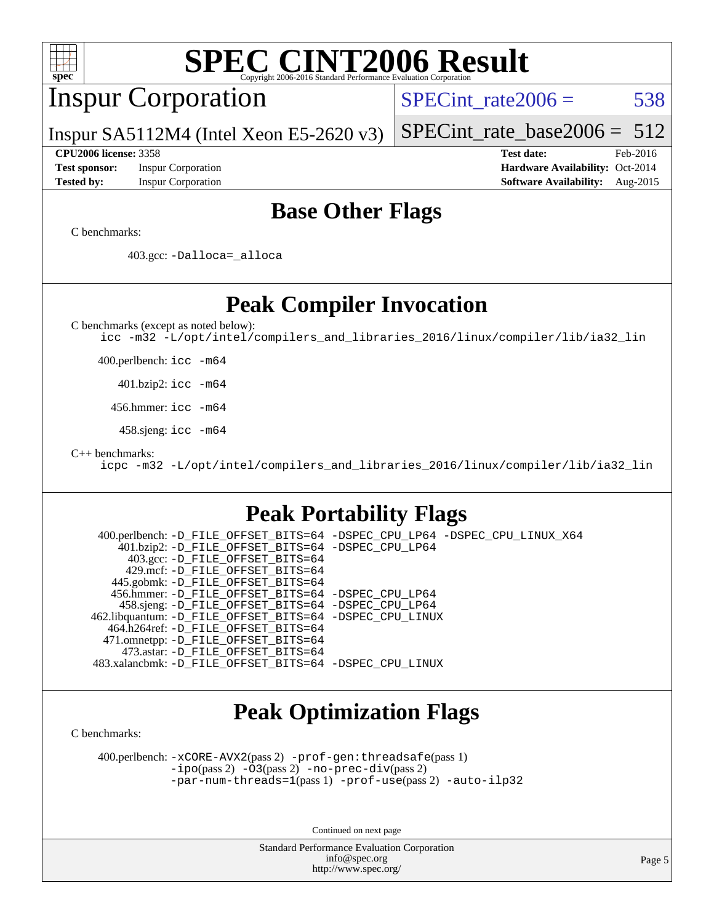

Continued on next page

Standard Performance Evaluation Corporation [info@spec.org](mailto:info@spec.org) <http://www.spec.org/>

Page 5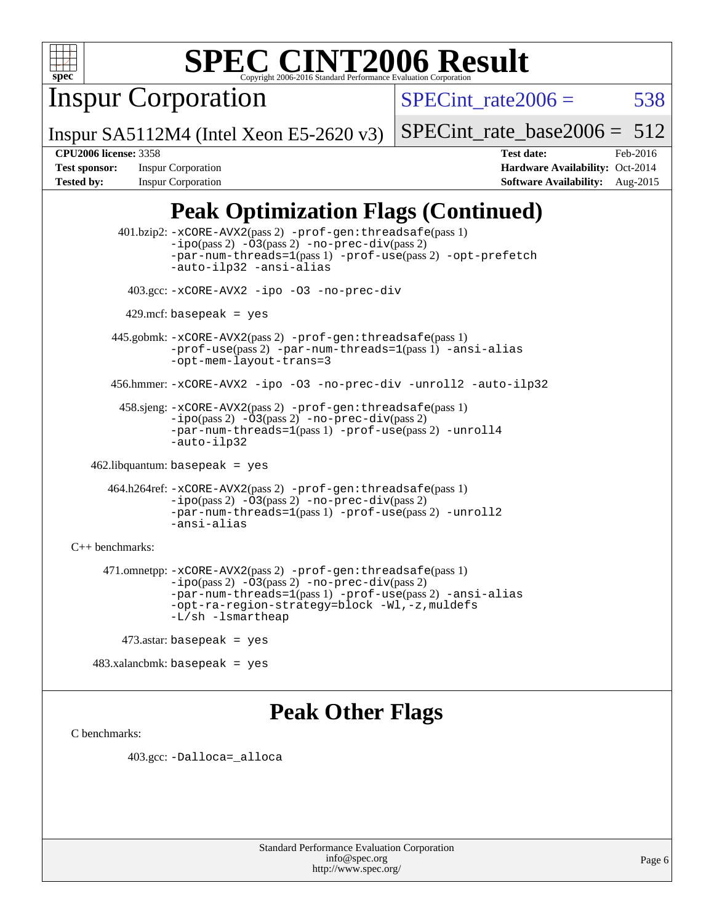

Inspur Corporation

SPECint rate $2006 = 538$ 

Inspur SA5112M4 (Intel Xeon E5-2620 v3)

[SPECint\\_rate\\_base2006 =](http://www.spec.org/auto/cpu2006/Docs/result-fields.html#SPECintratebase2006) 512

**[CPU2006 license:](http://www.spec.org/auto/cpu2006/Docs/result-fields.html#CPU2006license)** 3358 **[Test date:](http://www.spec.org/auto/cpu2006/Docs/result-fields.html#Testdate)** Feb-2016 **[Test sponsor:](http://www.spec.org/auto/cpu2006/Docs/result-fields.html#Testsponsor)** Inspur Corporation **[Hardware Availability:](http://www.spec.org/auto/cpu2006/Docs/result-fields.html#HardwareAvailability)** Oct-2014 **[Tested by:](http://www.spec.org/auto/cpu2006/Docs/result-fields.html#Testedby)** Inspur Corporation **[Software Availability:](http://www.spec.org/auto/cpu2006/Docs/result-fields.html#SoftwareAvailability)** Aug-2015

### **[Peak Optimization Flags \(Continued\)](http://www.spec.org/auto/cpu2006/Docs/result-fields.html#PeakOptimizationFlags)**

 401.bzip2: [-xCORE-AVX2](http://www.spec.org/cpu2006/results/res2016q1/cpu2006-20160307-39066.flags.html#user_peakPASS2_CFLAGSPASS2_LDCFLAGS401_bzip2_f-xAVX2_5f5fc0cbe2c9f62c816d3e45806c70d7)(pass 2) [-prof-gen:threadsafe](http://www.spec.org/cpu2006/results/res2016q1/cpu2006-20160307-39066.flags.html#user_peakPASS1_CFLAGSPASS1_LDCFLAGS401_bzip2_prof_gen_21a26eb79f378b550acd7bec9fe4467a)(pass 1)  $-i\text{po}(pass 2) -03(pass 2) -no-prec-div(pass 2)$  $-i\text{po}(pass 2) -03(pass 2) -no-prec-div(pass 2)$  $-i\text{po}(pass 2) -03(pass 2) -no-prec-div(pass 2)$ [-par-num-threads=1](http://www.spec.org/cpu2006/results/res2016q1/cpu2006-20160307-39066.flags.html#user_peakPASS1_CFLAGSPASS1_LDCFLAGS401_bzip2_par_num_threads_786a6ff141b4e9e90432e998842df6c2)(pass 1) [-prof-use](http://www.spec.org/cpu2006/results/res2016q1/cpu2006-20160307-39066.flags.html#user_peakPASS2_CFLAGSPASS2_LDCFLAGS401_bzip2_prof_use_bccf7792157ff70d64e32fe3e1250b55)(pass 2) [-opt-prefetch](http://www.spec.org/cpu2006/results/res2016q1/cpu2006-20160307-39066.flags.html#user_peakCOPTIMIZE401_bzip2_f-opt-prefetch) [-auto-ilp32](http://www.spec.org/cpu2006/results/res2016q1/cpu2006-20160307-39066.flags.html#user_peakCOPTIMIZE401_bzip2_f-auto-ilp32) [-ansi-alias](http://www.spec.org/cpu2006/results/res2016q1/cpu2006-20160307-39066.flags.html#user_peakCOPTIMIZE401_bzip2_f-ansi-alias) 403.gcc: [-xCORE-AVX2](http://www.spec.org/cpu2006/results/res2016q1/cpu2006-20160307-39066.flags.html#user_peakCOPTIMIZE403_gcc_f-xAVX2_5f5fc0cbe2c9f62c816d3e45806c70d7) [-ipo](http://www.spec.org/cpu2006/results/res2016q1/cpu2006-20160307-39066.flags.html#user_peakCOPTIMIZE403_gcc_f-ipo) [-O3](http://www.spec.org/cpu2006/results/res2016q1/cpu2006-20160307-39066.flags.html#user_peakCOPTIMIZE403_gcc_f-O3) [-no-prec-div](http://www.spec.org/cpu2006/results/res2016q1/cpu2006-20160307-39066.flags.html#user_peakCOPTIMIZE403_gcc_f-no-prec-div)  $429$ .mcf: basepeak = yes 445.gobmk: [-xCORE-AVX2](http://www.spec.org/cpu2006/results/res2016q1/cpu2006-20160307-39066.flags.html#user_peakPASS2_CFLAGSPASS2_LDCFLAGS445_gobmk_f-xAVX2_5f5fc0cbe2c9f62c816d3e45806c70d7)(pass 2) [-prof-gen:threadsafe](http://www.spec.org/cpu2006/results/res2016q1/cpu2006-20160307-39066.flags.html#user_peakPASS1_CFLAGSPASS1_LDCFLAGS445_gobmk_prof_gen_21a26eb79f378b550acd7bec9fe4467a)(pass 1) [-prof-use](http://www.spec.org/cpu2006/results/res2016q1/cpu2006-20160307-39066.flags.html#user_peakPASS2_CFLAGSPASS2_LDCFLAGS445_gobmk_prof_use_bccf7792157ff70d64e32fe3e1250b55)(pass 2) [-par-num-threads=1](http://www.spec.org/cpu2006/results/res2016q1/cpu2006-20160307-39066.flags.html#user_peakPASS1_CFLAGSPASS1_LDCFLAGS445_gobmk_par_num_threads_786a6ff141b4e9e90432e998842df6c2)(pass 1) [-ansi-alias](http://www.spec.org/cpu2006/results/res2016q1/cpu2006-20160307-39066.flags.html#user_peakCOPTIMIZE445_gobmk_f-ansi-alias) [-opt-mem-layout-trans=3](http://www.spec.org/cpu2006/results/res2016q1/cpu2006-20160307-39066.flags.html#user_peakCOPTIMIZE445_gobmk_f-opt-mem-layout-trans_a7b82ad4bd7abf52556d4961a2ae94d5) 456.hmmer: [-xCORE-AVX2](http://www.spec.org/cpu2006/results/res2016q1/cpu2006-20160307-39066.flags.html#user_peakCOPTIMIZE456_hmmer_f-xAVX2_5f5fc0cbe2c9f62c816d3e45806c70d7) [-ipo](http://www.spec.org/cpu2006/results/res2016q1/cpu2006-20160307-39066.flags.html#user_peakCOPTIMIZE456_hmmer_f-ipo) [-O3](http://www.spec.org/cpu2006/results/res2016q1/cpu2006-20160307-39066.flags.html#user_peakCOPTIMIZE456_hmmer_f-O3) [-no-prec-div](http://www.spec.org/cpu2006/results/res2016q1/cpu2006-20160307-39066.flags.html#user_peakCOPTIMIZE456_hmmer_f-no-prec-div) [-unroll2](http://www.spec.org/cpu2006/results/res2016q1/cpu2006-20160307-39066.flags.html#user_peakCOPTIMIZE456_hmmer_f-unroll_784dae83bebfb236979b41d2422d7ec2) [-auto-ilp32](http://www.spec.org/cpu2006/results/res2016q1/cpu2006-20160307-39066.flags.html#user_peakCOPTIMIZE456_hmmer_f-auto-ilp32) 458.sjeng: [-xCORE-AVX2](http://www.spec.org/cpu2006/results/res2016q1/cpu2006-20160307-39066.flags.html#user_peakPASS2_CFLAGSPASS2_LDCFLAGS458_sjeng_f-xAVX2_5f5fc0cbe2c9f62c816d3e45806c70d7)(pass 2) [-prof-gen:threadsafe](http://www.spec.org/cpu2006/results/res2016q1/cpu2006-20160307-39066.flags.html#user_peakPASS1_CFLAGSPASS1_LDCFLAGS458_sjeng_prof_gen_21a26eb79f378b550acd7bec9fe4467a)(pass 1) [-ipo](http://www.spec.org/cpu2006/results/res2016q1/cpu2006-20160307-39066.flags.html#user_peakPASS2_CFLAGSPASS2_LDCFLAGS458_sjeng_f-ipo)(pass 2) [-O3](http://www.spec.org/cpu2006/results/res2016q1/cpu2006-20160307-39066.flags.html#user_peakPASS2_CFLAGSPASS2_LDCFLAGS458_sjeng_f-O3)(pass 2) [-no-prec-div](http://www.spec.org/cpu2006/results/res2016q1/cpu2006-20160307-39066.flags.html#user_peakPASS2_CFLAGSPASS2_LDCFLAGS458_sjeng_f-no-prec-div)(pass 2) [-par-num-threads=1](http://www.spec.org/cpu2006/results/res2016q1/cpu2006-20160307-39066.flags.html#user_peakPASS1_CFLAGSPASS1_LDCFLAGS458_sjeng_par_num_threads_786a6ff141b4e9e90432e998842df6c2)(pass 1) [-prof-use](http://www.spec.org/cpu2006/results/res2016q1/cpu2006-20160307-39066.flags.html#user_peakPASS2_CFLAGSPASS2_LDCFLAGS458_sjeng_prof_use_bccf7792157ff70d64e32fe3e1250b55)(pass 2) [-unroll4](http://www.spec.org/cpu2006/results/res2016q1/cpu2006-20160307-39066.flags.html#user_peakCOPTIMIZE458_sjeng_f-unroll_4e5e4ed65b7fd20bdcd365bec371b81f) [-auto-ilp32](http://www.spec.org/cpu2006/results/res2016q1/cpu2006-20160307-39066.flags.html#user_peakCOPTIMIZE458_sjeng_f-auto-ilp32) 462.libquantum: basepeak = yes 464.h264ref: [-xCORE-AVX2](http://www.spec.org/cpu2006/results/res2016q1/cpu2006-20160307-39066.flags.html#user_peakPASS2_CFLAGSPASS2_LDCFLAGS464_h264ref_f-xAVX2_5f5fc0cbe2c9f62c816d3e45806c70d7)(pass 2) [-prof-gen:threadsafe](http://www.spec.org/cpu2006/results/res2016q1/cpu2006-20160307-39066.flags.html#user_peakPASS1_CFLAGSPASS1_LDCFLAGS464_h264ref_prof_gen_21a26eb79f378b550acd7bec9fe4467a)(pass 1) [-ipo](http://www.spec.org/cpu2006/results/res2016q1/cpu2006-20160307-39066.flags.html#user_peakPASS2_CFLAGSPASS2_LDCFLAGS464_h264ref_f-ipo)(pass 2) [-O3](http://www.spec.org/cpu2006/results/res2016q1/cpu2006-20160307-39066.flags.html#user_peakPASS2_CFLAGSPASS2_LDCFLAGS464_h264ref_f-O3)(pass 2) [-no-prec-div](http://www.spec.org/cpu2006/results/res2016q1/cpu2006-20160307-39066.flags.html#user_peakPASS2_CFLAGSPASS2_LDCFLAGS464_h264ref_f-no-prec-div)(pass 2) [-par-num-threads=1](http://www.spec.org/cpu2006/results/res2016q1/cpu2006-20160307-39066.flags.html#user_peakPASS1_CFLAGSPASS1_LDCFLAGS464_h264ref_par_num_threads_786a6ff141b4e9e90432e998842df6c2)(pass 1) [-prof-use](http://www.spec.org/cpu2006/results/res2016q1/cpu2006-20160307-39066.flags.html#user_peakPASS2_CFLAGSPASS2_LDCFLAGS464_h264ref_prof_use_bccf7792157ff70d64e32fe3e1250b55)(pass 2) [-unroll2](http://www.spec.org/cpu2006/results/res2016q1/cpu2006-20160307-39066.flags.html#user_peakCOPTIMIZE464_h264ref_f-unroll_784dae83bebfb236979b41d2422d7ec2) [-ansi-alias](http://www.spec.org/cpu2006/results/res2016q1/cpu2006-20160307-39066.flags.html#user_peakCOPTIMIZE464_h264ref_f-ansi-alias) [C++ benchmarks:](http://www.spec.org/auto/cpu2006/Docs/result-fields.html#CXXbenchmarks) 471.omnetpp: [-xCORE-AVX2](http://www.spec.org/cpu2006/results/res2016q1/cpu2006-20160307-39066.flags.html#user_peakPASS2_CXXFLAGSPASS2_LDCXXFLAGS471_omnetpp_f-xAVX2_5f5fc0cbe2c9f62c816d3e45806c70d7)(pass 2) [-prof-gen:threadsafe](http://www.spec.org/cpu2006/results/res2016q1/cpu2006-20160307-39066.flags.html#user_peakPASS1_CXXFLAGSPASS1_LDCXXFLAGS471_omnetpp_prof_gen_21a26eb79f378b550acd7bec9fe4467a)(pass 1)  $-ipo(pass 2) -\overline{03(pass 2)}$  $-ipo(pass 2) -\overline{03(pass 2)}$  [-no-prec-div](http://www.spec.org/cpu2006/results/res2016q1/cpu2006-20160307-39066.flags.html#user_peakPASS2_CXXFLAGSPASS2_LDCXXFLAGS471_omnetpp_f-no-prec-div)(pass 2) [-par-num-threads=1](http://www.spec.org/cpu2006/results/res2016q1/cpu2006-20160307-39066.flags.html#user_peakPASS1_CXXFLAGSPASS1_LDCXXFLAGS471_omnetpp_par_num_threads_786a6ff141b4e9e90432e998842df6c2)(pass 1) [-prof-use](http://www.spec.org/cpu2006/results/res2016q1/cpu2006-20160307-39066.flags.html#user_peakPASS2_CXXFLAGSPASS2_LDCXXFLAGS471_omnetpp_prof_use_bccf7792157ff70d64e32fe3e1250b55)(pass 2) [-ansi-alias](http://www.spec.org/cpu2006/results/res2016q1/cpu2006-20160307-39066.flags.html#user_peakCXXOPTIMIZE471_omnetpp_f-ansi-alias) [-opt-ra-region-strategy=block](http://www.spec.org/cpu2006/results/res2016q1/cpu2006-20160307-39066.flags.html#user_peakCXXOPTIMIZE471_omnetpp_f-opt-ra-region-strategy_a0a37c372d03933b2a18d4af463c1f69) [-Wl,-z,muldefs](http://www.spec.org/cpu2006/results/res2016q1/cpu2006-20160307-39066.flags.html#user_peakEXTRA_LDFLAGS471_omnetpp_link_force_multiple1_74079c344b956b9658436fd1b6dd3a8a) [-L/sh -lsmartheap](http://www.spec.org/cpu2006/results/res2016q1/cpu2006-20160307-39066.flags.html#user_peakEXTRA_LIBS471_omnetpp_SmartHeap_32f6c82aa1ed9c52345d30cf6e4a0499) 473.astar: basepeak = yes

483.xalancbmk: basepeak = yes

### **[Peak Other Flags](http://www.spec.org/auto/cpu2006/Docs/result-fields.html#PeakOtherFlags)**

[C benchmarks](http://www.spec.org/auto/cpu2006/Docs/result-fields.html#Cbenchmarks):

403.gcc: [-Dalloca=\\_alloca](http://www.spec.org/cpu2006/results/res2016q1/cpu2006-20160307-39066.flags.html#b403.gcc_peakEXTRA_CFLAGS_Dalloca_be3056838c12de2578596ca5467af7f3)